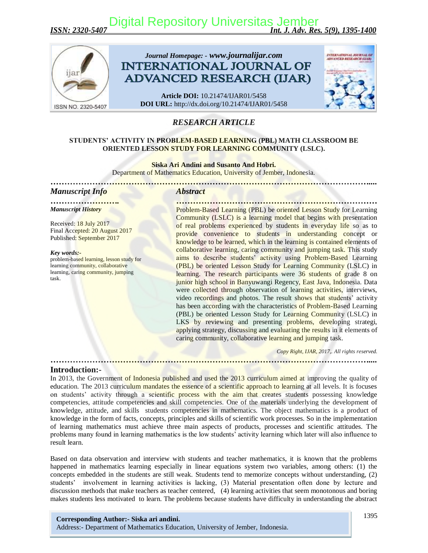*ISSN: 2320-5407 Int. J. Adv. Res. 5(9), 1395-1400* [Digital Repository Universitas Jember](http://repository.unej.ac.id)



# *RESEARCH ARTICLE*

### **STUDENTS' ACTIVITY IN PROBLEM-BASED LEARNING (PBL) MATH CLASSROOM BE ORIENTED LESSON STUDY FOR LEARNING COMMUNITY (LSLC).**

**Siska Ari Andini and Susanto And Hobri.**

Department of Mathematics Education, University of Jember, Indonesia. *…[…………………………………………………………………………………………………](http://repository.unej.ac.id)....*

# *Manuscript Info Abstract*

*Manuscript History*

Received: 18 July 2017 Final Accepted: 20 August 2017 Published: September 2017

*Key words:* problem-based learning, lesson study for learning community, collaborative learning, caring community, jumping task.

*……………………. ………………………………………………………………* Problem-Based Learning (PBL) be oriented Lesson Study for Learning Community (LSLC) is a learning model that begins with presentation of real problems experienced by students in everyday life so as to provide convenience to students in understanding concept or knowledge to be learned, which in the learning is contained elements of collaborative learning, caring community and jumping task. This study aims to describe students' activity using Problem-Based Learning (PBL) be oriented Lesson Study for Learning Community (LSLC) in learning. The research participants were 36 students of grade 8 on junior high school in Banyuwangi Regency, East Java, Indonesia. Data were collected through observation of learning activities, interviews, video recordings and photos. The result shows that students' activity has been according with the characteristics of Problem-Based Learning (PBL) be oriented Lesson Study for Learning Community (LSLC) in LKS by reviewing and presenting problems, developing strategi, applying strategy, discussing and evaluating the results in it elements of caring community, collaborative learning and jumping task.

*……………………………………………………………………………………………………....*

 *Copy Right, IJAR, 2017,. All rights reserved.*

#### **Introduction:-**

In 2013, the Government of Indonesia published and used the 2013 curriculum aimed at improving the quality of education. The 2013 curriculum mandates the essence of a scientific approach to learning at all levels. It is focuses on students' activity through a scientific process with the aim that creates students possessing knowledge competencies, attitude competencies and skill competencies. One of the materials underlying the development of knowledge, attitude, and skills students competencies in mathematics. The object mathematics is a product of knowledge in the form of facts, concepts, principles and skills of scientific work processes. So in the implementation of learning mathematics must achieve three main aspects of products, processes and scientific attitudes. The problems many found in learning mathematics is the low students' activity learning which later will also influence to result learn.

Based on data observation and interview with students and teacher mathematics, it is known that the problems happened in mathematics learning especially in linear equations system two variables, among others: (1) the concepts embedded in the students are still weak. Students tend to memorize concepts without understanding, (2) students' involvement in learning activities is lacking, (3) Material presentation often done by lecture and discussion methods that make teachers as teacher centered, (4) learning activities that seem monotonous and boring makes students less motivated to learn. The problems because students have difficulty in understanding the abstract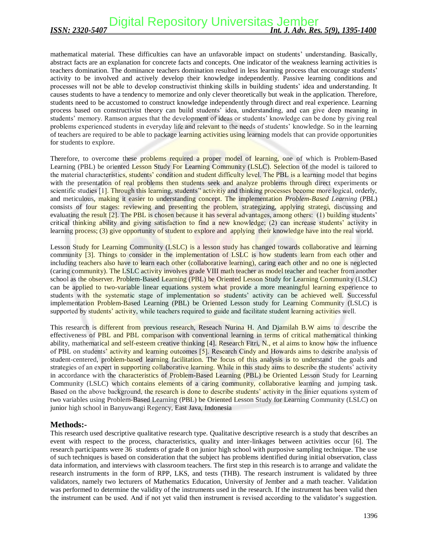mathematical material. These difficulties can have an unfavorable impact on students' understanding. Basically, abstract facts are an explanation for concrete facts and concepts. One indicator of the weakness learning activities is teachers domination. The dominance teachers domination resulted in less learning process that encourage students' activity to be involved and actively develop their knowledge independently. Passive learning conditions and processes will not be able to develop constructivist thinking skills in building students' idea and understanding. It causes students to have a tendency to memorize and only clever theoretically but weak in the application. Therefore, students need to be accustomed to construct knowledge independently through direct and real experience. Learning process based on constructivist theory can build students' idea, understanding, and can give deep meaning in stud[ents' memory. Ramson argues that the development of ideas or students' knowledge can be done by giving](http://repository.unej.ac.id) real problems experienced students in everyday life and relevant to the needs of students' knowledge. So in the learning of teachers are required to be able to package learning activities using learning models that can provide opportunities for students to explore.

Therefore, to overcome these problems required a proper model of learning, one of which is Problem-Based Learning (PBL) be oriented Lesson Study For Learning Community (LSLC). Selection of the model is tailored to the material characteristics, students' condition and student difficulty level. The PBL is a learning model that begins with the presentation of real problems then students seek and analyze problems through direct experiments or scientific studies [1]. Through this learning, students' activitiy and thinking processes become more logical, orderly, and meticulous, making it easier to understanding concept. The implementation *Problem-Based Learning* (PBL) consists of four stages: reviewing and presenting the problem, strategizing, applying strategi, discussing and evaluating the result [2]. The PBL is chosen because it has several advantages, among others: (1) building students' critical thinking ability and giving satisfaction to find a new knowledge; (2) can increase students' activity in learning **process**; (3) give opportunity of student to explore and applying their knowledge have into the real world.

Lesson Study for Learning Community (LSLC) is a lesson study has changed towards collaborative and learning community [3]. Things to consider in the implementation of LSLC is how students learn from each other and including teachers also have to learn each other (collaborative learning), caring each other and no one is neglected (caring community). The LSLC activity involves grade VIII math teacher as model teacher and teacher from another school as the observer. Problem-Based Learning (PBL) be Oriented Lesson Study for Learning Community (LSLC) can be applied to two-variable linear equations system what provide a more meaningful learning experience to students with the systematic stage of implementation so students' activity can be achieved well. Successful implementation Problem-Based Learning (PBL) be Oriented Lesson study for Learning Community (LSLC) is supported by students' activity, while teachers required to guide and facilitate student learning activities well.

This research is different from previous research, Reseach Nurina H. And Djamilah B.W aims to describe the effectiveness of PBL and PBL comparison with conventional learning in terms of critical mathematical thinking ability, mathematical and self-esteem creative thinking [4]. Research Fitri, N., et al aims to know how the influence of PBL on students' activity and learning outcomes [5]. Research Cindy and Howards aims to describe analysis of student-centered, problem-based learning facilitation. The focus of this analysis is to understand the goals and strategies of an expert in supporting collaborative learning. While in this study aims to describe the students' activity in accordance with the characteristics of Problem-Based Learning (PBL) be Oriented Lesson Study for Learning Community (LSLC) which contains elements of a caring community, collaborative learning and jumping task. Based on the above background, the research is done to describe students' activity in the linier equations system of two variables using Problem-Based Learning (PBL) be Oriented Lesson Study for Learning Community (LSLC) on junior high school in Banyuwangi Regency, East Java, Indonesia

# **Methods:-**

This research used descriptive qualitative research type. Qualitative descriptive research is a study that describes an event with respect to the process, characteristics, quality and inter-linkages between activities occur [6]. The research participants were 36 students of grade 8 on junior high school with purposive sampling technique. The use of such techniques is based on consideration that the subject has problems identified during initial observation, class data information, and interviews with classroom teachers. The first step in this research is to arrange and validate the research instruments in the form of RPP, LKS, and tests (THB). The research instrument is validated by three validators, namely two lecturers of Mathematics Education, University of Jember and a math teacher. Validation was performed to determine the validity of the instruments used in the research. If the instrument has been valid then the instrument can be used. And if not yet valid then instrument is revised according to the validator's suggestion.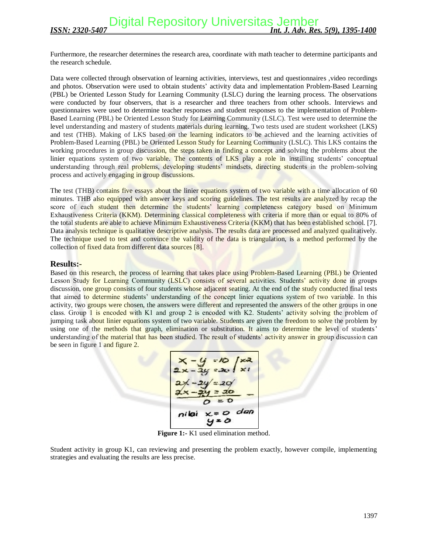Furthermore, the researcher determines the research area, coordinate with math teacher to determine participants and the research schedule.

Data were collected through observation of learning activities, interviews, test and questionnaires ,video recordings and photos. Observation were used to obtain students' activity data and implementation Problem-Based Learning (PBL) be Oriented Lesson Study for Learning Community (LSLC) during the learning process. The observations were conducted by four observers, that is a researcher and three teachers from other schools. Interviews and questionnaires were used to determine teacher responses and student responses to the implementation of Problem-Base[d Learning \(PBL\) be Oriented Lesson Study for Learning Community \(LSLC\). Test were used to determin](http://repository.unej.ac.id)e the level understanding and mastery of students materials during learning. Two tests used are student worksheet (LKS) and test (THB). Making of LKS based on the learning indicators to be achieved and the learning activities of Problem-Based Learning (PBL) be Oriented Lesson Study for Learning Community (LSLC). This LKS contains the working procedures in group discussion, the steps taken in finding a concept and solving the problems about the linier equations system of two variable. The contents of LKS play a role in instilling students' conceptual understanding through real problems, developing students' mindsets, directing students in the problem-solving process and actively engaging in group discussions.

The test (THB) contains five essays about the linier equations system of two variable with a time allocation of 60 minutes. THB also equipped with answer keys and scoring guidelines. The test results are analyzed by recap the score of each student then determine the students' learning completeness category based on Minimum Exhaustiveness Criteria (KKM). Determining classical completeness with criteria if more than or equal to 80% of the total students are able to achieve Minimum Exhaustiveness Criteria (KKM) that has been established school. [7]. Data analysis technique is qualitative descriptive analysis. The results data are processed and analyzed qualitatively. The technique used to test and convince the validity of the data is triangulation, is a method performed by the collection of fixed data from different data sources [8].

## **Results:-**

Based on this research, the process of learning that takes place using Problem-Based Learning (PBL) be Oriented Lesson Study for Learning Community (LSLC) consists of several activities. Students' activity done in groups discussion, one group consists of four students whose adjacent seating. At the end of the study conducted final tests that aimed to determine students' understanding of the concept linier equations system of two variable. In this activity, two groups were chosen, the answers were different and represented the answers of the other groups in one class. Group 1 is encoded with K1 and group 2 is encoded with K2. Students' activity solving the problem of jumping task about linier equations system of two variable. Students are given the freedom to solve the problem by using one of the methods that graph, elimination or substitution. It aims to determine the level of students' understanding of the material that has been studied. The result of students' activity answer in group discussion can be seen in figure 1 and figure 2.

$$
x-y=10
$$
  
\n2x-2y=20  
\n2x-2y=20  
\n2x-2y=20  
\n $0=0$   
\n $0=0$   
\n $y=0$ 

**Figure 1:-** K1 used elimination method.

Student activity in group K1, can reviewing and presenting the problem exactly, however compile, implementing strategies and evaluating the results are less precise.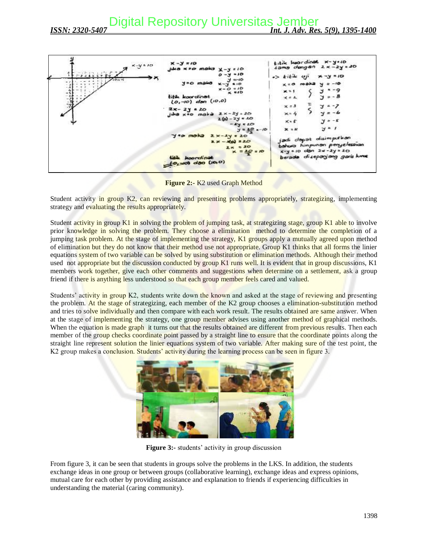

**Figure 2:-** K2 used Graph Method

Stud[ent activity in group K2, can reviewing and presenting problems appropriately, strategizing, implemen](http://repository.unej.ac.id)ting strategy and evaluating the results appropriately.

Student activity in group K1 in solving the problem of jumping task, at strategizing stage, group K1 able to involve prior knowledge in solving the problem. They choose a elimination method to determine the completion of a jumping task problem. At the stage of implementing the strategy, K1 groups apply a mutually agreed upon method of elimination but they do not know that their method use not appropriate. Group K1 thinks that all forms the linier equations system of two variable can be solved by using substitution or elimination methods. Although their method used not appropriate but the discussion conducted by group K1 runs well. It is evident that in group discussions, K1 members work together, give each other comments and suggestions when determine on a settlement, ask a group friend if there is anything less understood so that each group member feels cared and valued.

Students' activity in group K2, students write down the known and asked at the stage of reviewing and presenting the problem. At the stage of strategizing, each member of the K2 group chooses a elimination-substitution method and tries to solve individually and then compare with each work result. The results obtained are same answer. When at the stage of implementing the strategy, one group member advises using another method of graphical methods. When the equation is made graph it turns out that the results obtained are different from previous results. Then each member of the group checks coordinate point passed by a straight line to ensure that the coordinate points along the straight line represent solution the linier equations system of two variable. After making sure of the test point, the K2 group makes a conclusion. Students' activity during the learning process can be seen in figure 3.



**Figure 3:-** students' activity in group discussion

From figure 3, it can be seen that students in groups solve the problems in the LKS. In addition, the students exchange ideas in one group or between groups (collaborative learning), exchange ideas and express opinions, mutual care for each other by providing assistance and explanation to friends if experiencing difficulties in understanding the material (caring community).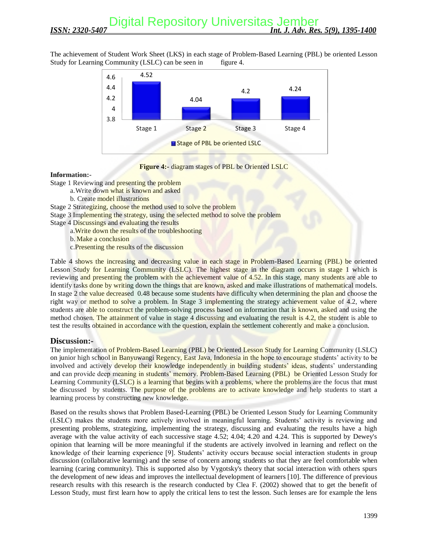The achievement of Student Work Sheet (LKS) in each stage of Problem-Based Learning (PBL) be oriented Lesson Study for Learning Community (LSLC) can be seen in figure 4.



### **Figure 4:-** diagram stages of PBL be Oriented LSLC

#### **Information:-**

Stage 1 Reviewing and **presenting** the problem

- a.Write down what is known and asked
	- b. Create model illustrations

Stage 2 Strategizing, choose the method used to solve the problem

Stage 3 Implementing the strategy, using the selected method to solve the problem

Stage 4 Discussings and evaluating the results

a.Write down the results of the troubleshooting

b. Make a conclusion

c.Presenting the results of the discussion

Tabl[e 4 shows the increasing and decreasing value in each stage in Problem-Based Learning \(PBL\) be orie](http://repository.unej.ac.id)nted Lesson Study for Learning Community (LSLC). The highest stage in the diagram occurs in stage 1 which is reviewing and presenting the problem with the achievement value of 4.52. In this stage, many students are able to identify tasks done by writing down the things that are known, asked and make illustrations of mathematical models. In stage 2 the value decreased 0.48 because some students have difficulty when determining the plan and choose the right way or method to solve a problem. In Stage 3 implementing the strategy achievement value of 4.2, where students are able to construct the problem-solving process based on information that is known, asked and using the method chosen. The attainment of value in stage 4 discussing and evaluating the result is 4.2, the student is able to test the results obtained in accordance with the question, explain the settlement coherently and make a conclusion.

# **Discussion:-**

The implementation of Problem-Based Learning (PBL) be Oriented Lesson Study for Learning Community (LSLC) on junior high school in Banyuwangi Regency, East Java, Indonesia in the hope to encourage students' activity to be involved and actively develop their knowledge independently in building students' ideas, students' understanding and can provide deep meaning in students' memory. Problem-Based Learning (PBL) be Oriented Lesson Study for Learning Community (LSLC) is a learning that begins with a problems, where the problems are the focus that must be discussed by students. The purpose of the problems are to activate knowledge and help students to start a learning process by constructing new knowledge.

Based on the results shows that Problem Based-Learning (PBL) be Oriented Lesson Study for Learning Community (LSLC) makes the students more actively involved in meaningful learning. Students' activity is reviewing and presenting problems, strategizing, implementing the strategy, discussing and evaluating the results have a high average with the value activity of each successive stage 4.52; 4.04; 4.20 and 4.24. This is supported by Dewey's opinion that learning will be more meaningful if the students are actively involved in learning and reflect on the knowledge of their learning experience [9]. Students' activity occurs because social interaction students in group discussion (collaborative learning) and the sense of concern among students so that they are feel comfortable when learning (caring community). This is supported also by Vygotsky's theory that social interaction with others spurs the development of new ideas and improves the intellectual development of learners [10]. The difference of previous research results with this research is the research conducted by Clea F. (2002) showed that to get the benefit of Lesson Study, must first learn how to apply the critical lens to test the lesson. Such lenses are for example the lens